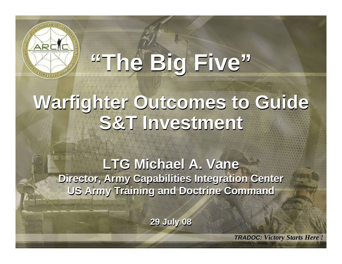

# **"The Big Five" "The Big Five"**

## **Warfighter Outcomes to Guide Warfighter Outcomes to Guide S&T Investment S&T Investment**

**LTG Michael A. Vane LTG Michael A. Vane Director, Army Capabilities Integration Center Director, Army Capabilities Integration Center US Army Training and Doctrine Command US Army Training and Doctrine Command**

**29 July 08 29 July 08**

**28 1600 July 08** Maneuver Support S&T Conference 29 Jul 08 1

*TRADOC: TRADOC: Victory Starts Here ! Victory Starts Here !*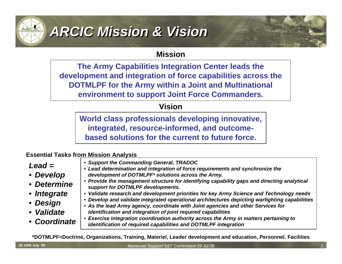

### *ARCIC Mission & Vision ARCIC Mission & Vision*

### **Mission**

**The Army Capabilities Integration Center leads the development and integration of force capabilities across the DOTMLPF for the Army within a Joint and Multinational environment to support Joint Force Commanders.**

### **Vision**

**World class professionals developing innovative, integrated, resource-informed, and outcomebased solutions for the current to future force.**

#### **Essential Tasks from Mission Analysis**

### *Lead =*

- *Develop*
- *Determine*
- *Integrate*
- *Design*
- *Validate*
- *Coordinate*
- *Support the Commanding General, TRADOC*
- *Lead determination and integration of force requirements and synchronize the development of DOTMLPF\* solutions across the Army.*
- *Provide the management structure for identifying capability gaps and directing analytical support for DOTMLPF developments.*
- *Validate research and development priorities for key Army Science and Technology needs*
- *Develop and validate integrated operational architectures depicting warfighting capabilities*
- *As the lead Army agency, coordinate with Joint agencies and other Services for identification and integration of joint required capabilities*
- *Exercise integration coordination authority across the Army in matters pertaining to identification of required capabilities and DOTMLPF integration*

**\*DOTMLPF=Doctrine, Organizations, Training, Materiel, Leader development and education, Personnel. Facilities**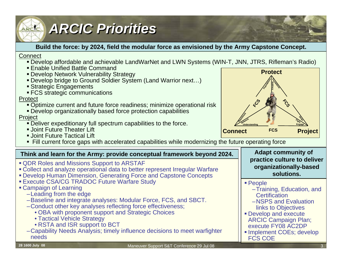

### *ARCIC Priorities ARCIC Priorities*

#### **Build the force: by 2024, field the modular force as envisioned by the Army Capstone Concept.**

#### Connect

- Develop affordable and achievable LandWarNet and LWN Systems (WIN-T, JNN, JTRS, Rifleman's Radio)
- Enable Unified Battle Command
- Develop Network Vulnerability Strategy
- Develop bridge to Ground Soldier System (Land Warrior next…)
- Strategic Engagements
- FCS strategic communications

#### Protect

- Optimize current and future force readiness; minimize operational risk
- Develop organizationally based force protection capabilities

### **Project**

- Deliver expeditionary full spectrum capabilities to the force.
- **Joint Future Theater Lift**
- Joint Future Tactical Lift
- Fill current force gaps with accelerated capabilities while modernizing the future operating force

### Think and learn for the Army: provide conceptual framework beyond 2024. **Adapt community of practice culture to deliver**

- QDR Roles and Missions Support to ARSTAF
- Collect and analyze operational data to better represent Irregular Warfare
- Develop Human Dimension, Generating Force and Capstone Concepts
- Execute CSA/CG TRADOC Future Warfare Study
- Campaign of Learning
	- –Leading from the edge
	- –Baseline and integrate analyses: Modular Force, FCS, and SBCT.
	- –Conduct other key analyses reflecting force effectiveness;
		- OBA with proponent support and Strategic Choices
		- Tactical Vehicle Strategy
		- RSTA and ISR support to BCT
	- –Capability Needs Analysis; timely influence decisions to meet warfighter needs



**organizationally-based solutions.**

- People
	- –Training, Education, and **Certification**
	- –NSPS and Evaluation links to Objectives
- Develop and execute ARCIC Campaign Plan; execute FY08 AC2DP
- **Implement COEs; develop** FCS COE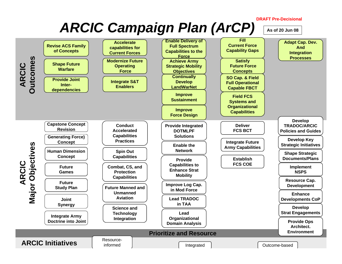### **DRAFT Pre-Decisional***ARCIC Campaign Plan (ArCP)* **As of 20 Jun 08**

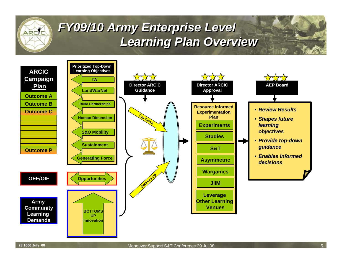

### *FY09/10 Army Enterprise Level FY09/10 Army Enterprise Level Learning Plan Overview Learning Plan Overview*

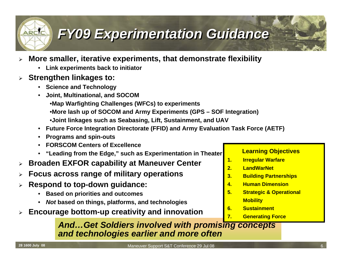### *FY09 Experimentation Guidance FY09 Experimentation Guidance*

### ¾ **More smaller, iterative experiments, that demonstrate flexibility**

• **Link experiments back to initiator**

#### ¾**Strengthen linkages to:**

ARCIC

- **Science and Technology**
- **Joint, Multinational, and SOCOM**
	- •**Map Warfighting Challenges (WFCs) to experiments**
	- •**More lash up of SOCOM and Army Experiments (GPS SOF Integration)**
	- •**Joint linkages such as Seabasing, Lift, Sustainment, and UAV**
- **Future Force Integration Directorate (FFID) and Army Evaluation Task Force (AETF)**
- **Programs and spin-outs**
- **FORSCOM Centers of Excellence**
- **"Leading from the Edge," such as Experimentation in Theater**
- ¾**Broaden EXFOR capability at Maneuver Center**
- ¾**Focus across range of military operations**
- ¾ **Respond to top-down guidance:**
	- **Based on priorities and outcomes**
	- *Not* **based on things, platforms, and technologies**
- ¾**Encourage bottom-up creativity and innovation**

#### **Learning Objectives**

- **1. Irregular Warfare**
- **2. LandWarNet**
- **3. Building Partnerships**
- **4. Human Dimension**
- **5. Strategic & Operational Mobility**
- **6. Sustainment**
- **7. Generating Force**

*And…Get Soldiers involved with promising concepts and technologies earlier and more often*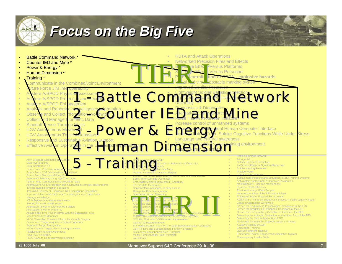

### **Focus on the Big Five**

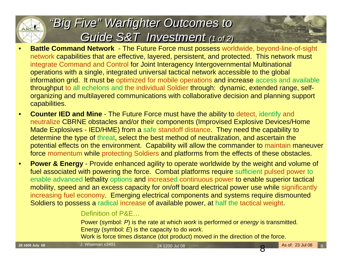#### *"Big Five" Warfighter Outcomes to Guide S&T Investment (1 of 2) "Big Five" Warfighter Outcomes to Guide S&T Investment (1 of 2)*

ARCIC

- **Battle Command Network** The Future Force must possess worldwide, beyond-line-of-sight network capabilities that are effective, layered, persistent, and protected. This network must integrate Command and Control for Joint Interagency Intergovernmental Multinational operations with a single, integrated universal tactical network accessible to the global information grid. It must be optimized for mobile operations and increase access and available throughput to all echelons and the individual Soldier through: dynamic, extended range, selforganizing and multilayered communications with collaborative decision and planning support capabilities.
- **Counter IED and Mine** The Future Force must have the ability to detect, identify and neutralize CBRNE obstacles and/or their components (Improvised Explosive Devices/Home Made Explosives - IED/HME) from a safe standoff distance. They need the capability to determine the type of threat, select the best method of neutralization, and ascertain the potential effects on the environment. Capability will allow the commander to maintain maneuver force momentum while protecting Soldiers and platforms from the effects of these obstacles.
- **Power & Energy** Provide enhanced agility to operate worldwide by the weight and volume of fuel associated with powering the force. Combat platforms require sufficient pulsed power to enable advanced lethality options and increased continuous power to enable superior tactical mobility, speed and an excess capacity for on/off board electrical power use while significantly increasing fuel economy. Emerging electrical components and systems require dismounted Soldiers to possess a radical increase of available power, at half the tactical weight.

### Definition of P&E...

Power (symbol: *P*) is the rate at which *work* is performed or *energy* is transmitted. Energy (symbol: *E*) is the capacity to do *work*.

Work is force times distance (dot product) moved in the direction of the force.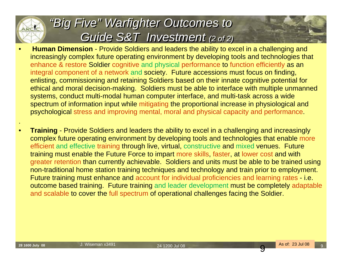#### *"Big Five" Warfighter Outcomes to Guide S&T Investment (2 of 2) "Big Five" Warfighter Outcomes to Guide S&T Investment (2 of 2)*

- **Human Dimension**  Provide Soldiers and leaders the ability to excel in a challenging and increasingly complex future operating environment by developing tools and technologies that enhance & restore Soldier cognitive and physical performance to function efficiently as an integral component of a network and society. Future accessions must focus on finding, enlisting, commissioning and retaining Soldiers based on their innate cognitive potential for ethical and moral decision-making. Soldiers must be able to interface with multiple unmanned systems, conduct multi-modal human computer interface, and multi-task across a wide spectrum of information input while mitigating the proportional increase in physiological and psychological stress and improving mental, moral and physical capacity and performance.
- **Training**  Provide Soldiers and leaders the ability to excel in a challenging and increasingly complex future operating environment by developing tools and technologies that enable more efficient and effective training through live, virtual, constructive and mixed venues. Future training must enable the Future Force to impart more skills, faster, at lower cost and with greater retention than currently achievable. Soldiers and units must be able to be trained using non-traditional home station training techniques and technology and train prior to employment. Future training must enhance and account for individual proficiencies and learning rates - i.e. outcome based training. Future training and leader development must be completely adaptable and scalable to cover the full spectrum of operational challenges facing the Soldier.

.

ARCIC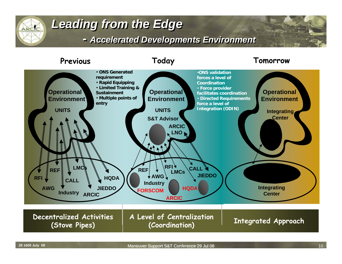

### *Leading from the Edge Leading from the Edge*

*- Accelerated Developments Environment - Accelerated Developments Environment*

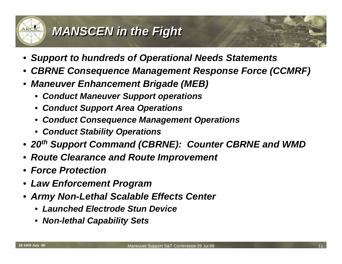

### *MANSCEN in the Fight MANSCEN in the Fight*

- *Support to hundreds of Operational Needs Statements*
- *CBRNE Consequence Management Response Force (CCMRF)*
- *Maneuver Enhancement Brigade (MEB)*
	- *Conduct Maneuver Support operations*
	- *Conduct Support Area Operations*
	- *Conduct Consequence Management Operations*
	- *Conduct Stability Operations*
- *20th Support Command (CBRNE): Counter CBRNE and WMD*
- *Route Clearance and Route Improvement*
- *Force Protection*
- *Law Enforcement Program*
- *Army Non-Lethal Scalable Effects Center*
	- *Launched Electrode Stun Device*
	- *Non-lethal Capability Sets*